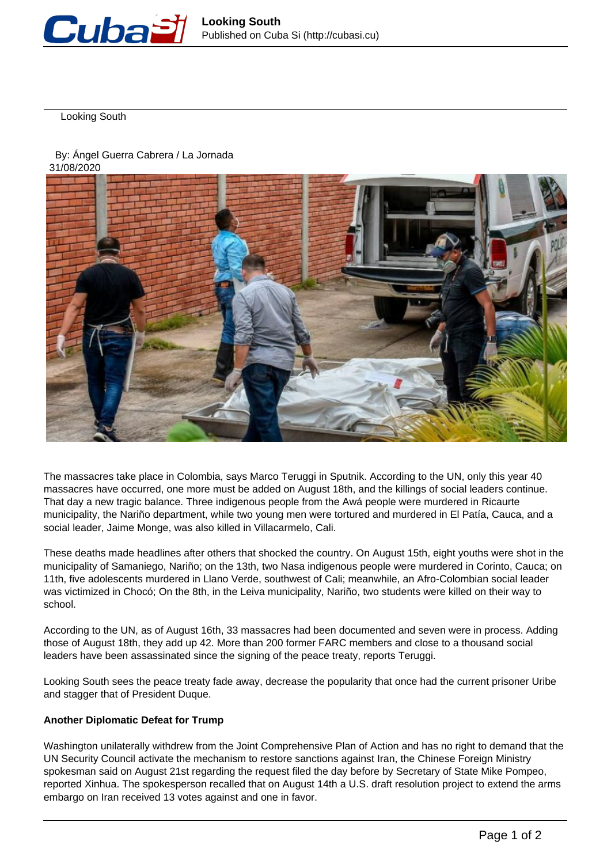

Looking South

By: Ángel Guerra Cabrera / La Jornada

31/08/2020



The massacres take place in Colombia, says Marco Teruggi in Sputnik. According to the UN, only this year 40 massacres have occurred, one more must be added on August 18th, and the killings of social leaders continue. That day a new tragic balance. Three indigenous people from the Awá people were murdered in Ricaurte municipality, the Nariño department, while two young men were tortured and murdered in El Patía, Cauca, and a social leader, Jaime Monge, was also killed in Villacarmelo, Cali.

These deaths made headlines after others that shocked the country. On August 15th, eight youths were shot in the municipality of Samaniego, Nariño; on the 13th, two Nasa indigenous people were murdered in Corinto, Cauca; on 11th, five adolescents murdered in Llano Verde, southwest of Cali; meanwhile, an Afro-Colombian social leader was victimized in Chocó; On the 8th, in the Leiva municipality, Nariño, two students were killed on their way to school.

According to the UN, as of August 16th, 33 massacres had been documented and seven were in process. Adding those of August 18th, they add up 42. More than 200 former FARC members and close to a thousand social leaders have been assassinated since the signing of the peace treaty, reports Teruggi.

Looking South sees the peace treaty fade away, decrease the popularity that once had the current prisoner Uribe and stagger that of President Duque.

## **Another Diplomatic Defeat for Trump**

Washington unilaterally withdrew from the Joint Comprehensive Plan of Action and has no right to demand that the UN Security Council activate the mechanism to restore sanctions against Iran, the Chinese Foreign Ministry spokesman said on August 21st regarding the request filed the day before by Secretary of State Mike Pompeo, reported Xinhua. The spokesperson recalled that on August 14th a U.S. draft resolution project to extend the arms embargo on Iran received 13 votes against and one in favor.